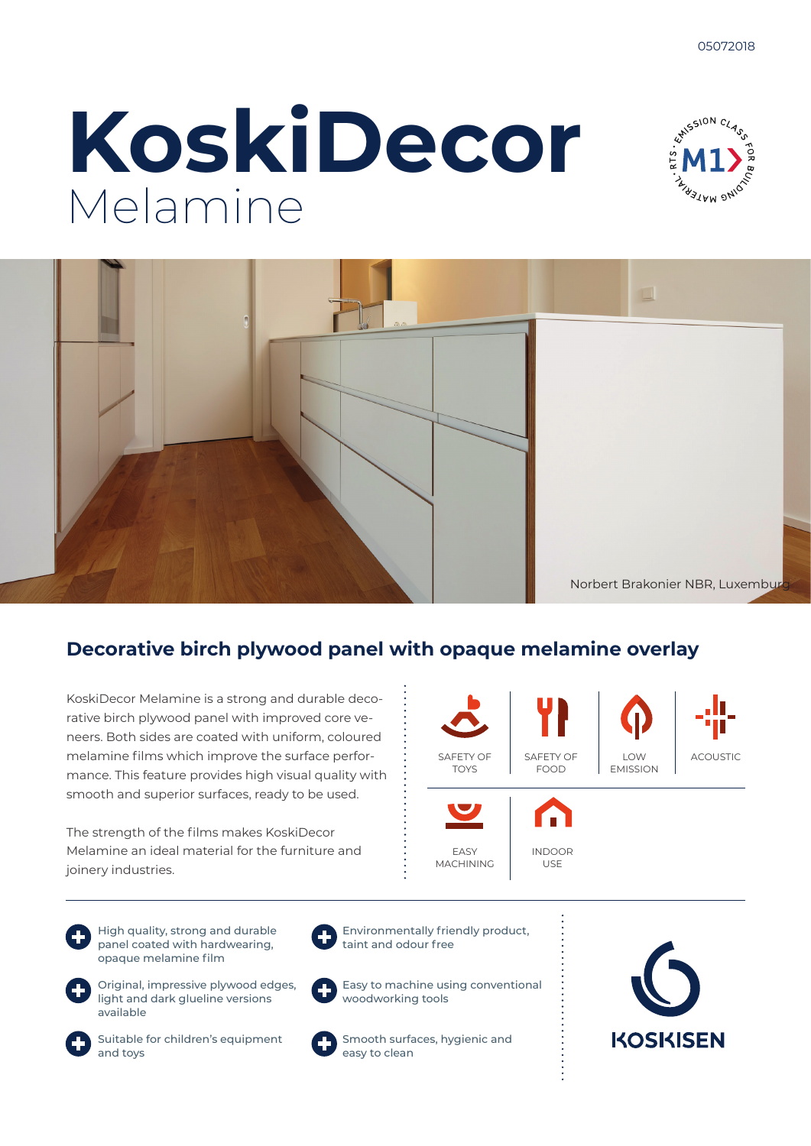# **KoskiDecor** Melamine





### **Decorative birch plywood panel with opaque melamine overlay**

KoskiDecor Melamine is a strong and durable decorative birch plywood panel with improved core veneers. Both sides are coated with uniform, coloured melamine films which improve the surface performance. This feature provides high visual quality with smooth and superior surfaces, ready to be used.

The strength of the films makes KoskiDecor Melamine an ideal material for the furniture and joinery industries.

 $LOM$ EMISSION SAFETY OF FOOD ACOUSTIC EASY MACHINING INDOOR USE SAFETY OF TOYS

High quality, strong and durable panel coated with hardwearing, opaque melamine film



Original, impressive plywood edges,



Environmentally friendly product, taint and odour free



light and dark glueline versions available



Suitable for children's equipment and toys



Easy to machine using conventional woodworking tools

Smooth surfaces, hygienic and easy to clean